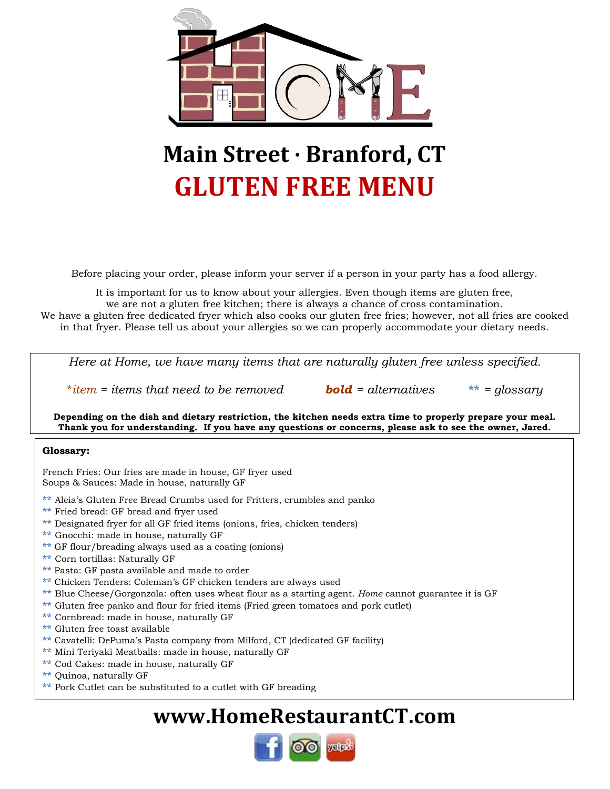

# **Main Street · Branford, CT GLUTEN FREE MENU**

Before placing your order, please inform your server if a person in your party has a food allergy.

It is important for us to know about your allergies. Even though items are gluten free, we are not a gluten free kitchen; there is always a chance of cross contamination.

We have a gluten free dedicated fryer which also cooks our gluten free fries; however, not all fries are cooked in that fryer. Please tell us about your allergies so we can properly accommodate your dietary needs.

*Here at Home, we have many items that are naturally gluten free unless specified.* 

\**item = items that need to be removed bold = alternatives* **\*\*** *= glossary*

**Depending on the dish and dietary restriction, the kitchen needs extra time to properly prepare your meal. Thank you for understanding. If you have any questions or concerns, please ask to see the owner, Jared.**

#### **Glossary:**

French Fries: Our fries are made in house, GF fryer used Soups & Sauces: Made in house, naturally GF

- **\*\*** Aleia's Gluten Free Bread Crumbs used for Fritters, crumbles and panko
- **\*\*** Fried bread: GF bread and fryer used
- \*\* Designated fryer for all GF fried items (onions, fries, chicken tenders)
- **\*\*** Gnocchi: made in house, naturally GF
- **\*\*** GF flour/breading always used as a coating (onions)
- **\*\*** Corn tortillas: Naturally GF
- **\*\*** Pasta: GF pasta available and made to order
- **\*\*** Chicken Tenders: Coleman's GF chicken tenders are always used
- **\*\*** Blue Cheese/Gorgonzola: often uses wheat flour as a starting agent. *Home* cannot guarantee it is GF
- **\*\*** Gluten free panko and flour for fried items (Fried green tomatoes and pork cutlet)
- **\*\*** Cornbread: made in house, naturally GF
- **\*\*** Gluten free toast available
- **\*\*** Cavatelli: DePuma's Pasta company from Milford, CT (dedicated GF facility)
- **\*\*** Mini Teriyaki Meatballs: made in house, naturally GF
- **\*\*** Cod Cakes: made in house, naturally GF
- **\*\*** Quinoa, naturally GF
- **\*\*** Pork Cutlet can be substituted to a cutlet with GF breading

## **www.HomeRestaurantCT.com**

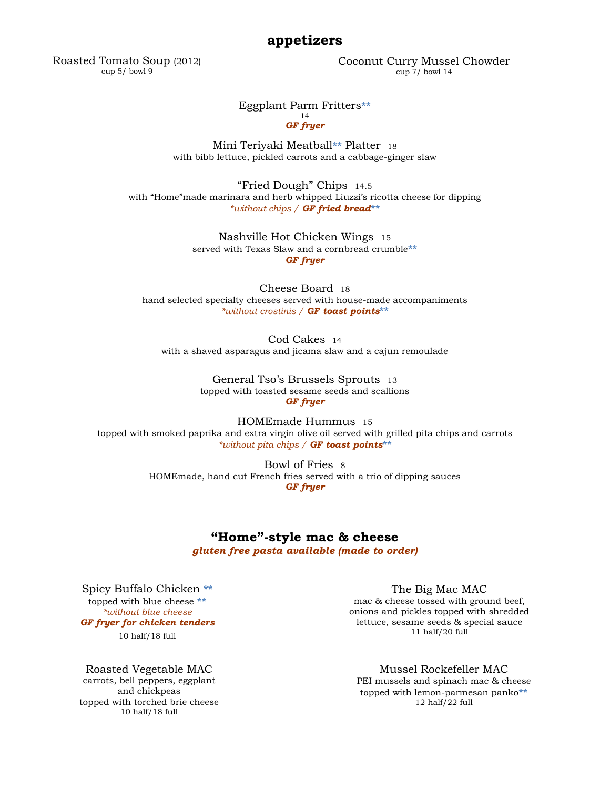#### **appetizers**

Roasted Tomato Soup (2012) cup 5/ bowl 9

Coconut Curry Mussel Chowder cup 7/ bowl 14

#### Eggplant Parm Fritters**\*\***

#### 14 *GF fryer*

Mini Teriyaki Meatball**\*\*** Platter <sup>18</sup> with bibb lettuce, pickled carrots and a cabbage-ginger slaw

"Fried Dough" Chips 14.5 with "Home"made marinara and herb whipped Liuzzi's ricotta cheese for dipping *\*without chips / GF fried bread***\*\***

> Nashville Hot Chicken Wings 15 served with Texas Slaw and a cornbread crumble**\*\*** *GF fryer*

Cheese Board 18 hand selected specialty cheeses served with house-made accompaniments *\*without crostinis / GF toast points***\*\***

Cod Cakes <sup>14</sup> with a shaved asparagus and jicama slaw and a cajun remoulade

> General Tso's Brussels Sprouts 13 topped with toasted sesame seeds and scallions *GF fryer*

HOMEmade Hummus 15 topped with smoked paprika and extra virgin olive oil served with grilled pita chips and carrots *\*without pita chips / GF toast points***\*\***

> Bowl of Fries 8 HOMEmade, hand cut French fries served with a trio of dipping sauces *GF fryer*

#### **"Home"-style mac & cheese**

*gluten free pasta available (made to order)*

Spicy Buffalo Chicken **\*\*** topped with blue cheese **\*\*** *\*without blue cheese GF fryer for chicken tenders* 10 half/18 full

Roasted Vegetable MAC carrots, bell peppers, eggplant and chickpeas topped with torched brie cheese 10 half/18 full

The Big Mac MAC mac & cheese tossed with ground beef, onions and pickles topped with shredded lettuce, sesame seeds & special sauce 11 half/20  $full$ 

#### Mussel Rockefeller MAC

PEI mussels and spinach mac & cheese topped with lemon-parmesan panko**\*\*** 12 half/22 full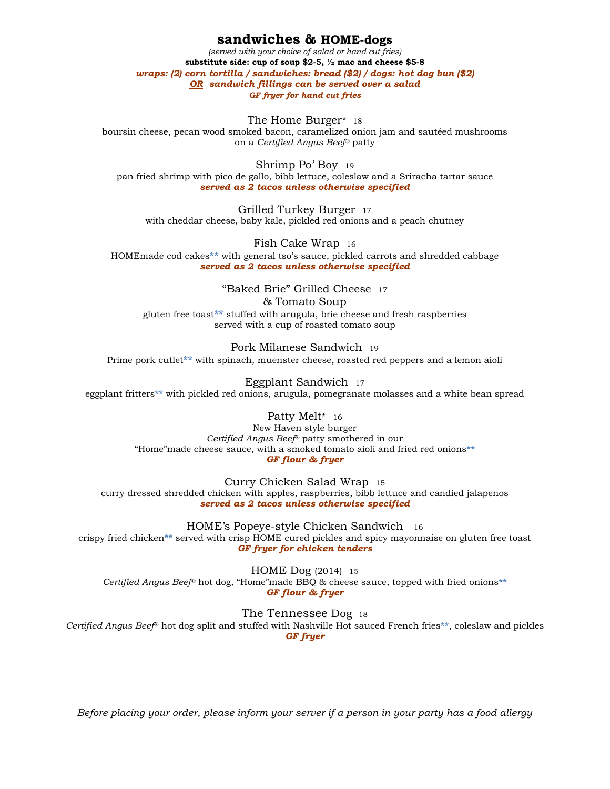#### **sandwiches & HOME-dogs**

*(served with your choice of salad or hand cut fries)* **substitute side: cup of soup \$2-5, ½ mac and cheese \$5-8** *wraps: (2) corn tortilla / sandwiches: bread (\$2) / dogs: hot dog bun (\$2) OR sandwich fillings can be served over a salad GF fryer for hand cut fries*

The Home Burger\* <sup>18</sup>

boursin cheese, pecan wood smoked bacon, caramelized onion jam and sautéed mushrooms on a *Certified Angus Beef*® patty

Shrimp Po' Boy <sup>19</sup> pan fried shrimp with pico de gallo, bibb lettuce, coleslaw and a Sriracha tartar sauce *served as 2 tacos unless otherwise specified*

Grilled Turkey Burger <sup>17</sup> with cheddar cheese, baby kale, pickled red onions and a peach chutney

Fish Cake Wrap <sup>16</sup> HOMEmade cod cakes**\*\*** with general tso's sauce, pickled carrots and shredded cabbage *served as 2 tacos unless otherwise specified*

"Baked Brie" Grilled Cheese <sup>17</sup> & Tomato Soup gluten free toast**\*\*** stuffed with arugula, brie cheese and fresh raspberries served with a cup of roasted tomato soup

Pork Milanese Sandwich <sup>19</sup> Prime pork cutlet**\*\*** with spinach, muenster cheese, roasted red peppers and a lemon aioli

Eggplant Sandwich <sup>17</sup> eggplant fritters**\*\*** with pickled red onions, arugula, pomegranate molasses and a white bean spread

Patty Melt\* 16 New Haven style burger *Certified Angus Beef*® patty smothered in our "Home"made cheese sauce, with a smoked tomato aioli and fried red onions**\*\*** *GF flour & fryer*

Curry Chicken Salad Wrap <sup>15</sup>

curry dressed shredded chicken with apples, raspberries, bibb lettuce and candied jalapenos *served as 2 tacos unless otherwise specified*

HOME's Popeye-style Chicken Sandwich <sup>16</sup> crispy fried chicken**\*\*** served with crisp HOME cured pickles and spicy mayonnaise on gluten free toast *GF fryer for chicken tenders*

HOME Dog (2014) <sup>15</sup> *Certified Angus Beef*® hot dog, "Home"made BBQ & cheese sauce, topped with fried onions**\*\*** *GF flour & fryer*

The Tennessee Dog <sup>18</sup> *Certified Angus Beef*® hot dog split and stuffed with Nashville Hot sauced French fries**\*\***, coleslaw and pickles *GF fryer*

*Before placing your order, please inform your server if a person in your party has a food allergy*